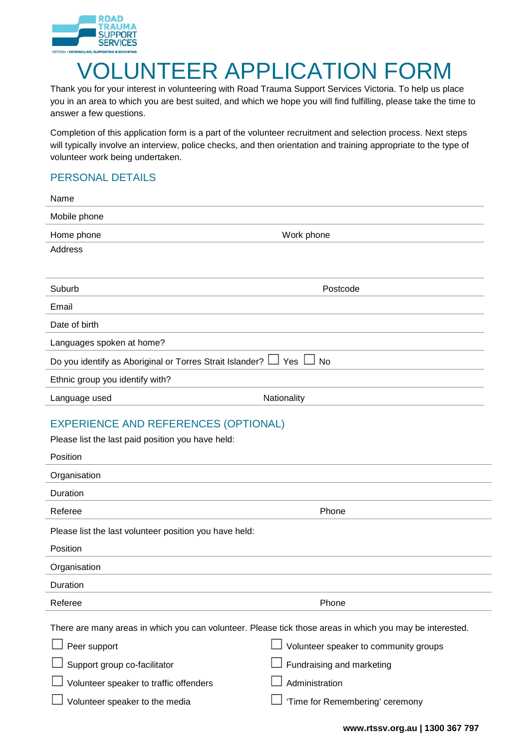

## VOLUNTEER APPLICATION FORM

Thank you for your interest in volunteering with Road Trauma Support Services Victoria. To help us place you in an area to which you are best suited, and which we hope you will find fulfilling, please take the time to answer a few questions.

Completion of this application form is a part of the volunteer recruitment and selection process. Next steps will typically involve an interview, police checks, and then orientation and training appropriate to the type of volunteer work being undertaken.

## PERSONAL DETAILS

| Name                                                                                                         |                                                                                                                                                   |  |  |  |  |  |
|--------------------------------------------------------------------------------------------------------------|---------------------------------------------------------------------------------------------------------------------------------------------------|--|--|--|--|--|
| Mobile phone                                                                                                 |                                                                                                                                                   |  |  |  |  |  |
| Home phone                                                                                                   | Work phone                                                                                                                                        |  |  |  |  |  |
| <b>Address</b>                                                                                               |                                                                                                                                                   |  |  |  |  |  |
|                                                                                                              |                                                                                                                                                   |  |  |  |  |  |
| Suburb                                                                                                       | Postcode                                                                                                                                          |  |  |  |  |  |
| Email                                                                                                        |                                                                                                                                                   |  |  |  |  |  |
| Date of birth                                                                                                |                                                                                                                                                   |  |  |  |  |  |
| Languages spoken at home?                                                                                    |                                                                                                                                                   |  |  |  |  |  |
| Do you identify as Aboriginal or Torres Strait Islander?                                                     | Yes<br>No                                                                                                                                         |  |  |  |  |  |
| Ethnic group you identify with?                                                                              |                                                                                                                                                   |  |  |  |  |  |
| Language used                                                                                                | Nationality                                                                                                                                       |  |  |  |  |  |
| <b>EXPERIENCE AND REFERENCES (OPTIONAL)</b><br>Please list the last paid position you have held:<br>Position |                                                                                                                                                   |  |  |  |  |  |
| Organisation                                                                                                 |                                                                                                                                                   |  |  |  |  |  |
| Duration                                                                                                     |                                                                                                                                                   |  |  |  |  |  |
| Referee                                                                                                      | Phone                                                                                                                                             |  |  |  |  |  |
| Please list the last volunteer position you have held:<br>Position                                           |                                                                                                                                                   |  |  |  |  |  |
| Organisation                                                                                                 |                                                                                                                                                   |  |  |  |  |  |
| Duration                                                                                                     |                                                                                                                                                   |  |  |  |  |  |
| Referee                                                                                                      | Phone                                                                                                                                             |  |  |  |  |  |
| Peer support                                                                                                 | There are many areas in which you can volunteer. Please tick those areas in which you may be interested.<br>Volunteer speaker to community groups |  |  |  |  |  |
| Support group co-facilitator                                                                                 | Fundraising and marketing                                                                                                                         |  |  |  |  |  |
| Volunteer speaker to traffic offenders                                                                       | Administration                                                                                                                                    |  |  |  |  |  |
| Volunteer speaker to the media                                                                               | 'Time for Remembering' ceremony                                                                                                                   |  |  |  |  |  |